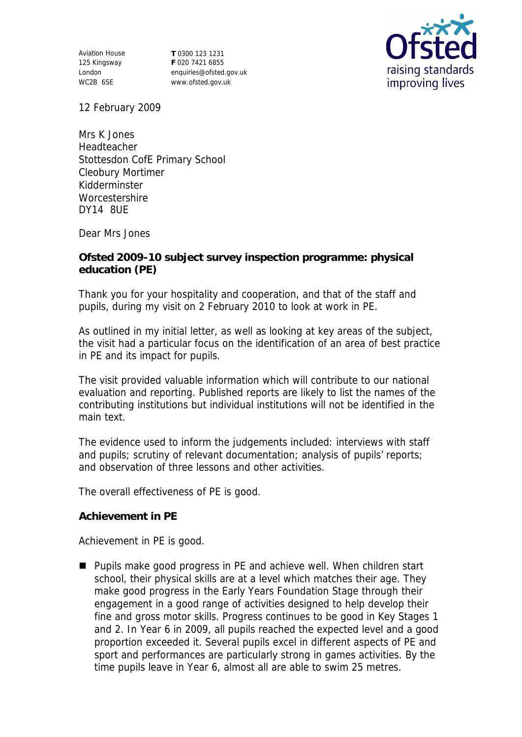Aviation House 125 Kingsway London WC2B 6SE

**T** 0300 123 1231 **F** 020 7421 6855 enquiries@ofsted.gov.uk www.ofsted.gov.uk



12 February 2009

Mrs K Jones Headteacher Stottesdon CofE Primary School Cleobury Mortimer Kidderminster **Worcestershire** DY14 8UE

Dear Mrs Jones

**Ofsted 2009-10 subject survey inspection programme: physical education (PE)**

Thank you for your hospitality and cooperation, and that of the staff and pupils, during my visit on 2 February 2010 to look at work in PE.

As outlined in my initial letter, as well as looking at key areas of the subject, the visit had a particular focus on the identification of an area of best practice in PE and its impact for pupils.

The visit provided valuable information which will contribute to our national evaluation and reporting. Published reports are likely to list the names of the contributing institutions but individual institutions will not be identified in the main text.

The evidence used to inform the judgements included: interviews with staff and pupils; scrutiny of relevant documentation; analysis of pupils' reports; and observation of three lessons and other activities.

The overall effectiveness of PE is good.

**Achievement in PE**

Achievement in PE is good.

■ Pupils make good progress in PE and achieve well. When children start school, their physical skills are at a level which matches their age. They make good progress in the Early Years Foundation Stage through their engagement in a good range of activities designed to help develop their fine and gross motor skills. Progress continues to be good in Key Stages 1 and 2. In Year 6 in 2009, all pupils reached the expected level and a good proportion exceeded it. Several pupils excel in different aspects of PE and sport and performances are particularly strong in games activities. By the time pupils leave in Year 6, almost all are able to swim 25 metres.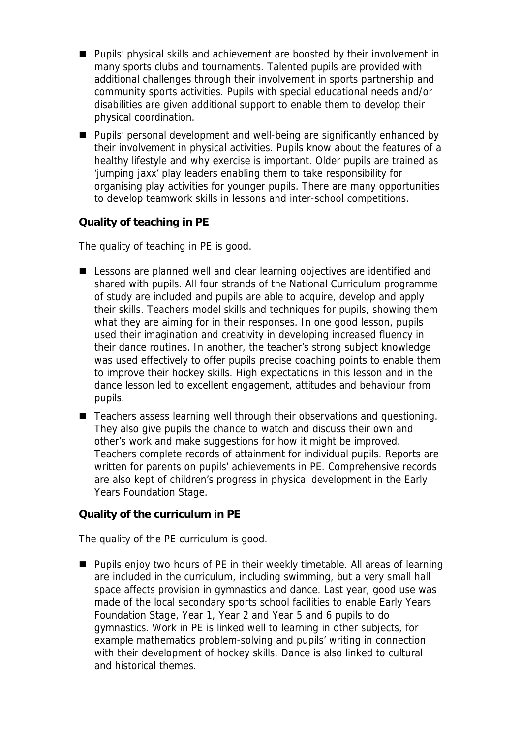- **Pupils' physical skills and achievement are boosted by their involvement in** many sports clubs and tournaments. Talented pupils are provided with additional challenges through their involvement in sports partnership and community sports activities. Pupils with special educational needs and/or disabilities are given additional support to enable them to develop their physical coordination.
- Pupils' personal development and well-being are significantly enhanced by their involvement in physical activities. Pupils know about the features of a healthy lifestyle and why exercise is important. Older pupils are trained as 'jumping jaxx' play leaders enabling them to take responsibility for organising play activities for younger pupils. There are many opportunities to develop teamwork skills in lessons and inter-school competitions.

**Quality of teaching in PE** 

The quality of teaching in PE is good.

- Lessons are planned well and clear learning objectives are identified and shared with pupils. All four strands of the National Curriculum programme of study are included and pupils are able to acquire, develop and apply their skills. Teachers model skills and techniques for pupils, showing them what they are aiming for in their responses. In one good lesson, pupils used their imagination and creativity in developing increased fluency in their dance routines. In another, the teacher's strong subject knowledge was used effectively to offer pupils precise coaching points to enable them to improve their hockey skills. High expectations in this lesson and in the dance lesson led to excellent engagement, attitudes and behaviour from pupils.
- Teachers assess learning well through their observations and questioning. They also give pupils the chance to watch and discuss their own and other's work and make suggestions for how it might be improved. Teachers complete records of attainment for individual pupils. Reports are written for parents on pupils' achievements in PE. Comprehensive records are also kept of children's progress in physical development in the Early Years Foundation Stage.

**Quality of the curriculum in PE**

The quality of the PE curriculum is good.

■ Pupils enjoy two hours of PE in their weekly timetable. All areas of learning are included in the curriculum, including swimming, but a very small hall space affects provision in gymnastics and dance. Last year, good use was made of the local secondary sports school facilities to enable Early Years Foundation Stage, Year 1, Year 2 and Year 5 and 6 pupils to do gymnastics. Work in PE is linked well to learning in other subjects, for example mathematics problem-solving and pupils' writing in connection with their development of hockey skills. Dance is also linked to cultural and historical themes.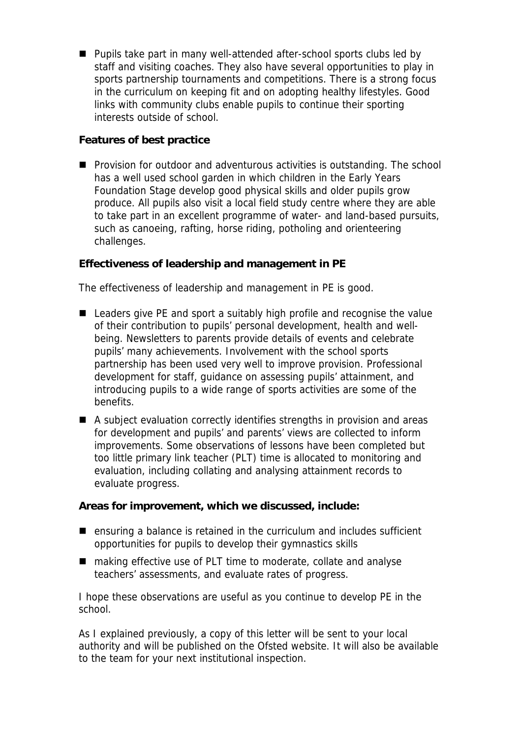■ Pupils take part in many well-attended after-school sports clubs led by staff and visiting coaches. They also have several opportunities to play in sports partnership tournaments and competitions. There is a strong focus in the curriculum on keeping fit and on adopting healthy lifestyles. Good links with community clubs enable pupils to continue their sporting interests outside of school.

**Features of best practice**

**Provision for outdoor and adventurous activities is outstanding. The school** has a well used school garden in which children in the Early Years Foundation Stage develop good physical skills and older pupils grow produce. All pupils also visit a local field study centre where they are able to take part in an excellent programme of water- and land-based pursuits, such as canoeing, rafting, horse riding, potholing and orienteering challenges.

**Effectiveness of leadership and management in PE**

The effectiveness of leadership and management in PE is good.

- Leaders give PE and sport a suitably high profile and recognise the value of their contribution to pupils' personal development, health and wellbeing. Newsletters to parents provide details of events and celebrate pupils' many achievements. Involvement with the school sports partnership has been used very well to improve provision. Professional development for staff, guidance on assessing pupils' attainment, and introducing pupils to a wide range of sports activities are some of the benefits.
- A subject evaluation correctly identifies strengths in provision and areas for development and pupils' and parents' views are collected to inform improvements. Some observations of lessons have been completed but too little primary link teacher (PLT) time is allocated to monitoring and evaluation, including collating and analysing attainment records to evaluate progress.

**Areas for improvement, which we discussed, include:**

- $\blacksquare$  ensuring a balance is retained in the curriculum and includes sufficient opportunities for pupils to develop their gymnastics skills
- making effective use of PLT time to moderate, collate and analyse teachers' assessments, and evaluate rates of progress.

I hope these observations are useful as you continue to develop PE in the school.

As I explained previously, a copy of this letter will be sent to your local authority and will be published on the Ofsted website. It will also be available to the team for your next institutional inspection.